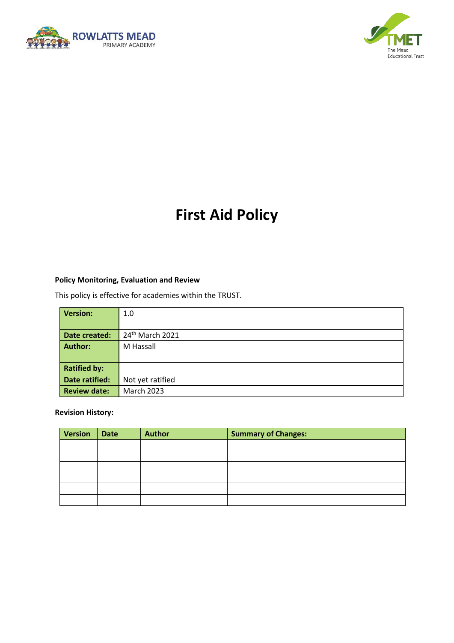



# **First Aid Policy**

#### **Policy Monitoring, Evaluation and Review**

This policy is effective for academies within the TRUST.

| <b>Version:</b>     | 1.0                         |
|---------------------|-----------------------------|
|                     |                             |
| Date created:       | 24 <sup>th</sup> March 2021 |
| <b>Author:</b>      | M Hassall                   |
|                     |                             |
| <b>Ratified by:</b> |                             |
| Date ratified:      | Not yet ratified            |
| <b>Review date:</b> | <b>March 2023</b>           |

**Revision History:**

| <b>Version</b> | <b>Date</b> | <b>Author</b> | <b>Summary of Changes:</b> |
|----------------|-------------|---------------|----------------------------|
|                |             |               |                            |
|                |             |               |                            |
|                |             |               |                            |
|                |             |               |                            |
|                |             |               |                            |
|                |             |               |                            |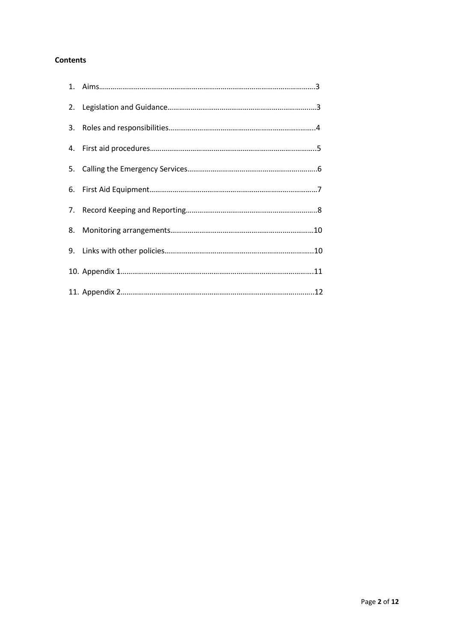#### **Contents**

| 3. |  |
|----|--|
|    |  |
|    |  |
|    |  |
|    |  |
|    |  |
|    |  |
|    |  |
|    |  |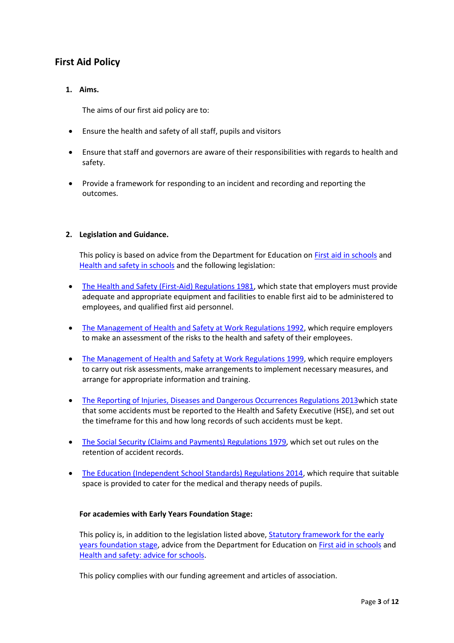# **First Aid Policy**

# **1. Aims.**

The aims of our first aid policy are to:

- Ensure the health and safety of all staff, pupils and visitors
- Ensure that staff and governors are aware of their responsibilities with regards to health and safety.
- Provide a framework for responding to an incident and recording and reporting the outcomes.

#### **2. Legislation and Guidance.**

This policy is based on advice from the Department for Education on [First aid in schools](https://www.gov.uk/government/publications/first-aid-in-schools) and [Health and safety in schools](https://www.gov.uk/government/publications/health-and-safety-advice-for-schools) and the following legislation:

- [The Health and Safety \(First-Aid\) Regulations 1981,](file://///rm-fs01/staff$/HEALTH%20&%20SAFTEY/First%20Aid/Administering%20medicines%20policy%20Sept%202020.docx) which state that employers must provide adequate and appropriate equipment and facilities to enable first aid to be administered to employees, and qualified first aid personnel.
- [The Management of Health and Safety at Work Regulations 1992,](https://www.legislation.gov.uk/uksi/1992/2051/regulation/3/made) which require employers to make an assessment of the risks to the health and safety of their employees.
- [The Management of Health and Safety at Work Regulations 1999,](https://www.legislation.gov.uk/uksi/1999/3242/contents/made) which require employers to carry out risk assessments, make arrangements to implement necessary measures, and arrange for appropriate information and training.
- [The Reporting of Injuries, Diseases and Dangerous Occurrences Regulations 2013w](https://www.legislation.gov.uk/uksi/2013/1471/schedule/1/paragraph/1/made)hich state that some accidents must be reported to the Health and Safety Executive (HSE), and set out the timeframe for this and how long records of such accidents must be kept.
- [The Social Security \(Claims and Payments\) Regulations 1979,](https://www.legislation.gov.uk/uksi/1979/628) which set out rules on the retention of accident records.
- [The Education \(Independent School Standards\) Regulations 2014,](https://www.legislation.gov.uk/uksi/2014/3283/schedule/made) which require that suitable space is provided to cater for the medical and therapy needs of pupils.

#### **For academies with Early Years Foundation Stage:**

This policy is, in addition to the legislation listed above, Statutory framework for the early [years foundation stage,](https://assets.publishing.service.gov.uk/government/uploads/system/uploads/attachment_data/file/596629/EYFS_STATUTORY_FRAMEWORK_2017.pdf) advice from the Department for Education on [First aid in schools](https://www.gov.uk/government/publications/first-aid-in-schools) and [Health and safety: advice for schools.](https://www.gov.uk/government/publications/health-and-safety-advice-for-schools)

This policy complies with our funding agreement and articles of association.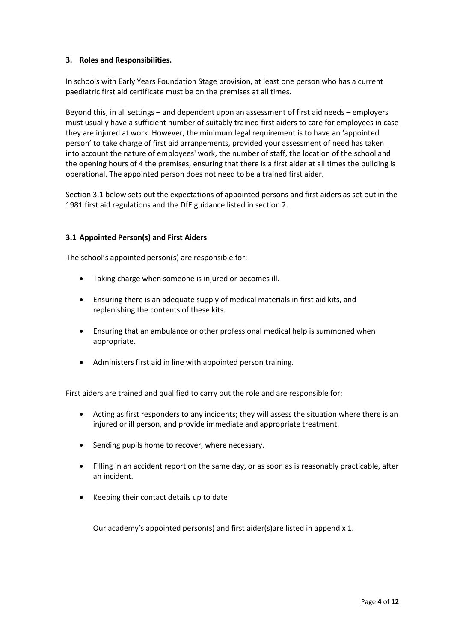#### **3. Roles and Responsibilities.**

In schools with Early Years Foundation Stage provision, at least one person who has a current paediatric first aid certificate must be on the premises at all times.

Beyond this, in all settings – and dependent upon an assessment of first aid needs – employers must usually have a sufficient number of suitably trained first aiders to care for employees in case they are injured at work. However, the minimum legal requirement is to have an 'appointed person' to take charge of first aid arrangements, provided your assessment of need has taken into account the nature of employees' work, the number of staff, the location of the school and the opening hours of 4 the premises, ensuring that there is a first aider at all times the building is operational. The appointed person does not need to be a trained first aider.

Section 3.1 below sets out the expectations of appointed persons and first aiders as set out in the 1981 first aid regulations and the DfE guidance listed in section 2.

# **3.1 Appointed Person(s) and First Aiders**

The school's appointed person(s) are responsible for:

- Taking charge when someone is injured or becomes ill.
- Ensuring there is an adequate supply of medical materials in first aid kits, and replenishing the contents of these kits.
- Ensuring that an ambulance or other professional medical help is summoned when appropriate.
- Administers first aid in line with appointed person training.

First aiders are trained and qualified to carry out the role and are responsible for:

- Acting as first responders to any incidents; they will assess the situation where there is an injured or ill person, and provide immediate and appropriate treatment.
- Sending pupils home to recover, where necessary.
- Filling in an accident report on the same day, or as soon as is reasonably practicable, after an incident.
- Keeping their contact details up to date

Our academy's appointed person(s) and first aider(s)are listed in appendix 1.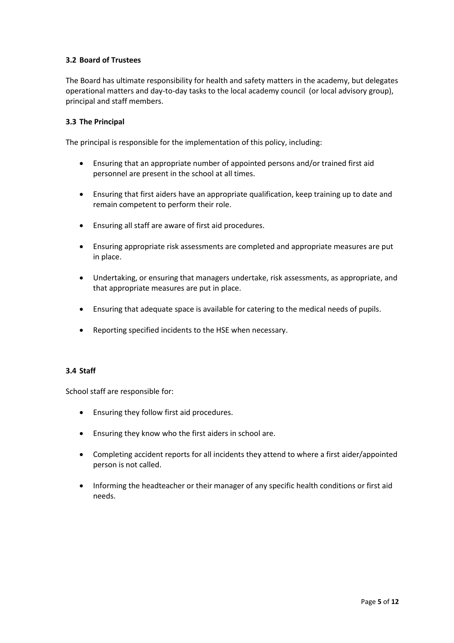# **3.2 Board of Trustees**

The Board has ultimate responsibility for health and safety matters in the academy, but delegates operational matters and day-to-day tasks to the local academy council (or local advisory group), principal and staff members.

#### **3.3 The Principal**

The principal is responsible for the implementation of this policy, including:

- Ensuring that an appropriate number of appointed persons and/or trained first aid personnel are present in the school at all times.
- Ensuring that first aiders have an appropriate qualification, keep training up to date and remain competent to perform their role.
- Ensuring all staff are aware of first aid procedures.
- Ensuring appropriate risk assessments are completed and appropriate measures are put in place.
- Undertaking, or ensuring that managers undertake, risk assessments, as appropriate, and that appropriate measures are put in place.
- Ensuring that adequate space is available for catering to the medical needs of pupils.
- Reporting specified incidents to the HSE when necessary.

#### **3.4 Staff**

School staff are responsible for:

- Ensuring they follow first aid procedures.
- Ensuring they know who the first aiders in school are.
- Completing accident reports for all incidents they attend to where a first aider/appointed person is not called.
- Informing the headteacher or their manager of any specific health conditions or first aid needs.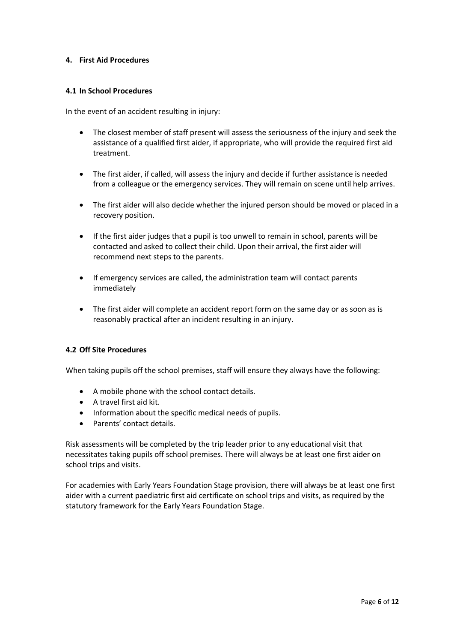#### **4. First Aid Procedures**

#### **4.1 In School Procedures**

In the event of an accident resulting in injury:

- The closest member of staff present will assess the seriousness of the injury and seek the assistance of a qualified first aider, if appropriate, who will provide the required first aid treatment.
- The first aider, if called, will assess the injury and decide if further assistance is needed from a colleague or the emergency services. They will remain on scene until help arrives.
- The first aider will also decide whether the injured person should be moved or placed in a recovery position.
- If the first aider judges that a pupil is too unwell to remain in school, parents will be contacted and asked to collect their child. Upon their arrival, the first aider will recommend next steps to the parents.
- If emergency services are called, the administration team will contact parents immediately
- The first aider will complete an accident report form on the same day or as soon as is reasonably practical after an incident resulting in an injury.

#### **4.2 Off Site Procedures**

When taking pupils off the school premises, staff will ensure they always have the following:

- A mobile phone with the school contact details.
- A travel first aid kit.
- Information about the specific medical needs of pupils.
- Parents' contact details.

Risk assessments will be completed by the trip leader prior to any educational visit that necessitates taking pupils off school premises. There will always be at least one first aider on school trips and visits.

For academies with Early Years Foundation Stage provision, there will always be at least one first aider with a current paediatric first aid certificate on school trips and visits, as required by the statutory framework for the Early Years Foundation Stage.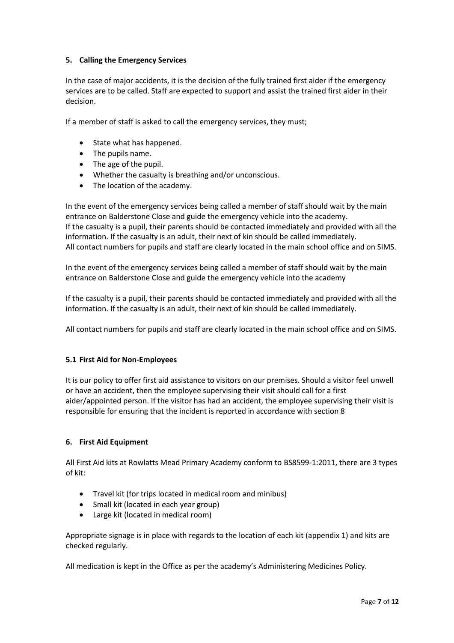## **5. Calling the Emergency Services**

In the case of major accidents, it is the decision of the fully trained first aider if the emergency services are to be called. Staff are expected to support and assist the trained first aider in their decision.

If a member of staff is asked to call the emergency services, they must;

- State what has happened.
- The pupils name.
- The age of the pupil.
- Whether the casualty is breathing and/or unconscious.
- The location of the academy.

In the event of the emergency services being called a member of staff should wait by the main entrance on Balderstone Close and guide the emergency vehicle into the academy. If the casualty is a pupil, their parents should be contacted immediately and provided with all the information. If the casualty is an adult, their next of kin should be called immediately. All contact numbers for pupils and staff are clearly located in the main school office and on SIMS.

In the event of the emergency services being called a member of staff should wait by the main entrance on Balderstone Close and guide the emergency vehicle into the academy

If the casualty is a pupil, their parents should be contacted immediately and provided with all the information. If the casualty is an adult, their next of kin should be called immediately.

All contact numbers for pupils and staff are clearly located in the main school office and on SIMS.

# **5.1 First Aid for Non-Employees**

It is our policy to offer first aid assistance to visitors on our premises. Should a visitor feel unwell or have an accident, then the employee supervising their visit should call for a first aider/appointed person. If the visitor has had an accident, the employee supervising their visit is responsible for ensuring that the incident is reported in accordance with section 8

# **6. First Aid Equipment**

All First Aid kits at Rowlatts Mead Primary Academy conform to BS8599-1:2011, there are 3 types of kit:

- Travel kit (for trips located in medical room and minibus)
- Small kit (located in each year group)
- Large kit (located in medical room)

Appropriate signage is in place with regards to the location of each kit (appendix 1) and kits are checked regularly.

All medication is kept in the Office as per the academy's Administering Medicines Policy.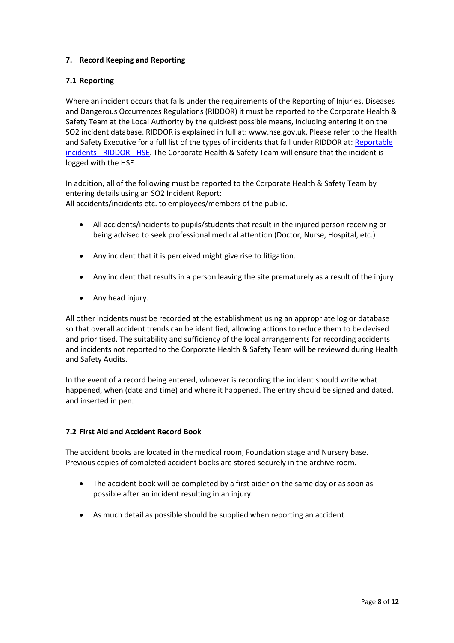# **7. Record Keeping and Reporting**

# **7.1 Reporting**

Where an incident occurs that falls under the requirements of the Reporting of Injuries, Diseases and Dangerous Occurrences Regulations (RIDDOR) it must be reported to the Corporate Health & Safety Team at the Local Authority by the quickest possible means, including entering it on the SO2 incident database. RIDDOR is explained in full at: www.hse.gov.uk. Please refer to the Health and Safety Executive for a full list of the types of incidents that fall under RIDDOR at: [Reportable](https://www.hse.gov.uk/riddor/reportable-incidents.htm)  [incidents -](https://www.hse.gov.uk/riddor/reportable-incidents.htm) RIDDOR - HSE. The Corporate Health & Safety Team will ensure that the incident is logged with the HSE.

In addition, all of the following must be reported to the Corporate Health & Safety Team by entering details using an SO2 Incident Report: All accidents/incidents etc. to employees/members of the public.

- All accidents/incidents to pupils/students that result in the injured person receiving or being advised to seek professional medical attention (Doctor, Nurse, Hospital, etc.)
- Any incident that it is perceived might give rise to litigation.
- Any incident that results in a person leaving the site prematurely as a result of the injury.
- Any head injury.

All other incidents must be recorded at the establishment using an appropriate log or database so that overall accident trends can be identified, allowing actions to reduce them to be devised and prioritised. The suitability and sufficiency of the local arrangements for recording accidents and incidents not reported to the Corporate Health & Safety Team will be reviewed during Health and Safety Audits.

In the event of a record being entered, whoever is recording the incident should write what happened, when (date and time) and where it happened. The entry should be signed and dated, and inserted in pen.

#### **7.2 First Aid and Accident Record Book**

The accident books are located in the medical room, Foundation stage and Nursery base. Previous copies of completed accident books are stored securely in the archive room.

- The accident book will be completed by a first aider on the same day or as soon as possible after an incident resulting in an injury.
- As much detail as possible should be supplied when reporting an accident.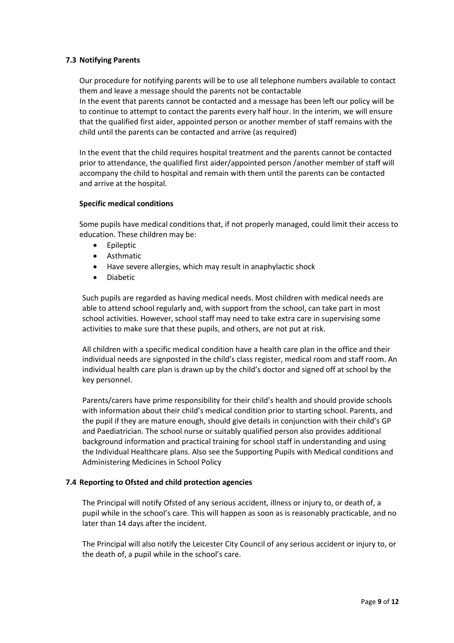#### **7.3 Notifying Parents**

Our procedure for notifying parents will be to use all telephone numbers available to contact them and leave a message should the parents not be contactable

In the event that parents cannot be contacted and a message has been left our policy will be to continue to attempt to contact the parents every half hour. In the interim, we will ensure that the qualified first aider, appointed person or another member of staff remains with the child until the parents can be contacted and arrive (as required)

In the event that the child requires hospital treatment and the parents cannot be contacted prior to attendance, the qualified first aider/appointed person /another member of staff will accompany the child to hospital and remain with them until the parents can be contacted and arrive at the hospital.

#### **Specific medical conditions**

Some pupils have medical conditions that, if not properly managed, could limit their access to education. These children may be:

- Epileptic
- Asthmatic
- Have severe allergies, which may result in anaphylactic shock
- Diabetic

Such pupils are regarded as having medical needs. Most children with medical needs are able to attend school regularly and, with support from the school, can take part in most school activities. However, school staff may need to take extra care in supervising some activities to make sure that these pupils, and others, are not put at risk.

All children with a specific medical condition have a health care plan in the office and their individual needs are signposted in the child's class register, medical room and staff room. An individual health care plan is drawn up by the child's doctor and signed off at school by the key personnel.

Parents/carers have prime responsibility for their child's health and should provide schools with information about their child's medical condition prior to starting school. Parents, and the pupil if they are mature enough, should give details in conjunction with their child's GP and Paediatrician. The school nurse or suitably qualified person also provides additional background information and practical training for school staff in understanding and using the Individual Healthcare plans. Also see the Supporting Pupils with Medical conditions and Administering Medicines in School Policy

#### **7.4 Reporting to Ofsted and child protection agencies**

The Principal will notify Ofsted of any serious accident, illness or injury to, or death of, a pupil while in the school's care. This will happen as soon as is reasonably practicable, and no later than 14 days after the incident.

The Principal will also notify the Leicester City Council of any serious accident or injury to, or the death of, a pupil while in the school's care.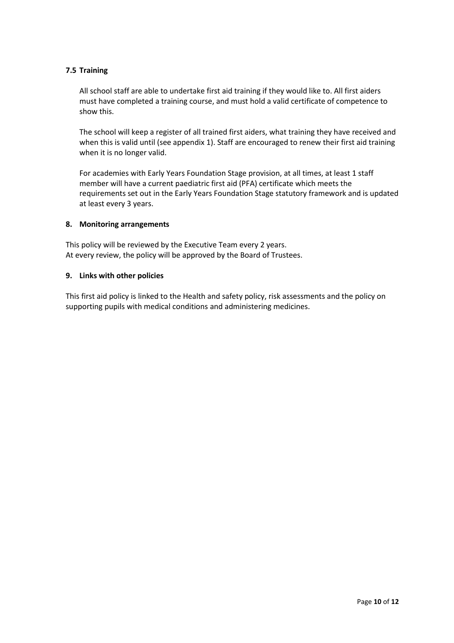## **7.5 Training**

All school staff are able to undertake first aid training if they would like to. All first aiders must have completed a training course, and must hold a valid certificate of competence to show this.

The school will keep a register of all trained first aiders, what training they have received and when this is valid until (see appendix 1). Staff are encouraged to renew their first aid training when it is no longer valid.

For academies with Early Years Foundation Stage provision, at all times, at least 1 staff member will have a current paediatric first aid (PFA) certificate which meets the requirements set out in the Early Years Foundation Stage statutory framework and is updated at least every 3 years.

#### **8. Monitoring arrangements**

This policy will be reviewed by the Executive Team every 2 years. At every review, the policy will be approved by the Board of Trustees.

#### **9. Links with other policies**

This first aid policy is linked to the Health and safety policy, risk assessments and the policy on supporting pupils with medical conditions and administering medicines.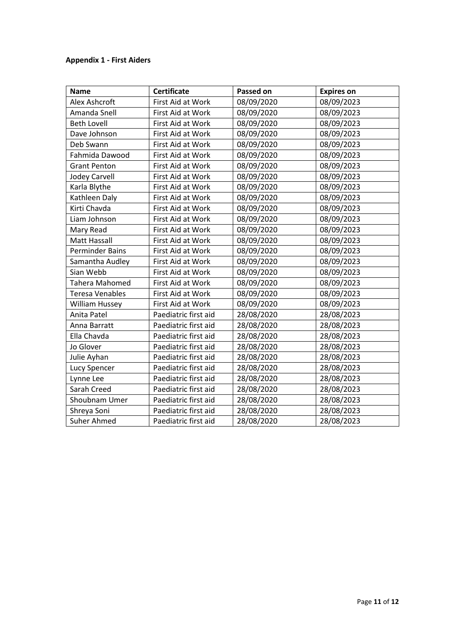# **Appendix 1 - First Aiders**

| <b>Name</b>            | <b>Certificate</b>   | Passed on  | <b>Expires on</b> |
|------------------------|----------------------|------------|-------------------|
| Alex Ashcroft          | First Aid at Work    | 08/09/2020 | 08/09/2023        |
| Amanda Snell           | First Aid at Work    | 08/09/2020 | 08/09/2023        |
| <b>Beth Lovell</b>     | First Aid at Work    | 08/09/2020 | 08/09/2023        |
| Dave Johnson           | First Aid at Work    | 08/09/2020 | 08/09/2023        |
| Deb Swann              | First Aid at Work    | 08/09/2020 | 08/09/2023        |
| Fahmida Dawood         | First Aid at Work    | 08/09/2020 | 08/09/2023        |
| <b>Grant Penton</b>    | First Aid at Work    | 08/09/2020 | 08/09/2023        |
| <b>Jodey Carvell</b>   | First Aid at Work    | 08/09/2020 | 08/09/2023        |
| Karla Blythe           | First Aid at Work    | 08/09/2020 | 08/09/2023        |
| Kathleen Daly          | First Aid at Work    | 08/09/2020 | 08/09/2023        |
| Kirti Chavda           | First Aid at Work    | 08/09/2020 | 08/09/2023        |
| Liam Johnson           | First Aid at Work    | 08/09/2020 | 08/09/2023        |
| Mary Read              | First Aid at Work    | 08/09/2020 | 08/09/2023        |
| <b>Matt Hassall</b>    | First Aid at Work    | 08/09/2020 | 08/09/2023        |
| <b>Perminder Bains</b> | First Aid at Work    | 08/09/2020 | 08/09/2023        |
| Samantha Audley        | First Aid at Work    | 08/09/2020 | 08/09/2023        |
| Sian Webb              | First Aid at Work    | 08/09/2020 | 08/09/2023        |
| Tahera Mahomed         | First Aid at Work    | 08/09/2020 | 08/09/2023        |
| <b>Teresa Venables</b> | First Aid at Work    | 08/09/2020 | 08/09/2023        |
| William Hussey         | First Aid at Work    | 08/09/2020 | 08/09/2023        |
| Anita Patel            | Paediatric first aid | 28/08/2020 | 28/08/2023        |
| Anna Barratt           | Paediatric first aid | 28/08/2020 | 28/08/2023        |
| Ella Chavda            | Paediatric first aid | 28/08/2020 | 28/08/2023        |
| Jo Glover              | Paediatric first aid | 28/08/2020 | 28/08/2023        |
| Julie Ayhan            | Paediatric first aid | 28/08/2020 | 28/08/2023        |
| Lucy Spencer           | Paediatric first aid | 28/08/2020 | 28/08/2023        |
| Lynne Lee              | Paediatric first aid | 28/08/2020 | 28/08/2023        |
| Sarah Creed            | Paediatric first aid | 28/08/2020 | 28/08/2023        |
| Shoubnam Umer          | Paediatric first aid | 28/08/2020 | 28/08/2023        |
| Shreya Soni            | Paediatric first aid | 28/08/2020 | 28/08/2023        |
| Suher Ahmed            | Paediatric first aid | 28/08/2020 | 28/08/2023        |